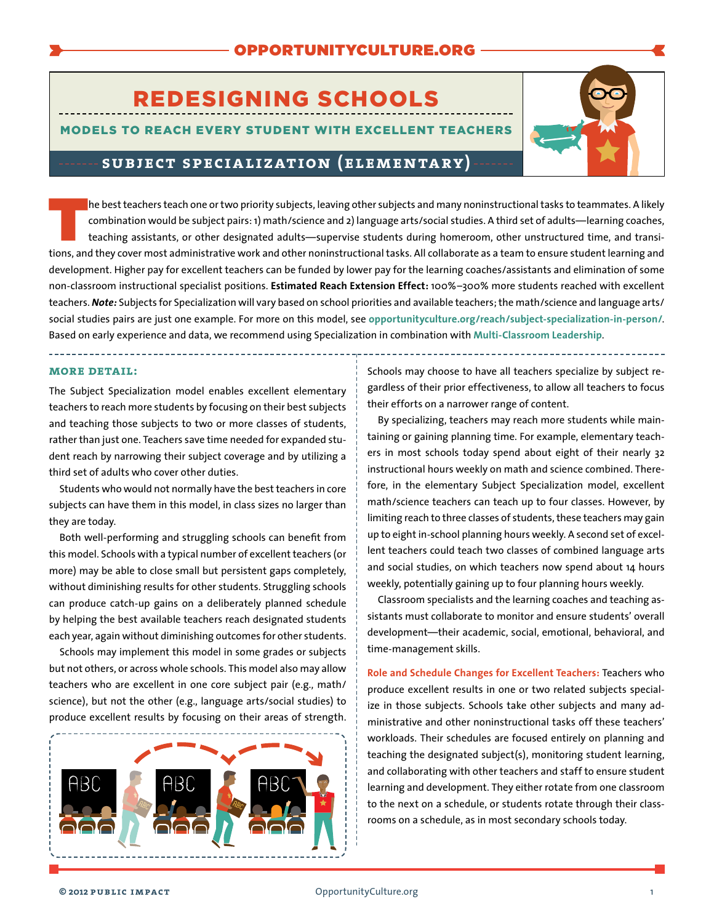# REDESIGNING SCHOOLS

### MODELS TO REACH EVERY STUDENT WITH EXCELLENT TEACHERS



# **subject specialization (elementary)**

Ine best teachers teach one or two priority subjects, leaving other subjects and many noninstructional tasks to teammates. A likely combination would be subject pairs: 1) math/science and 2) language arts/social studies. A third set of adults—learning coaches, teaching assistants, or other designated adults—supervise students during homeroom, other unstructured time, and transitions, and they cover most administrative work and other noninstructional tasks. All collaborate as a team to ensure student learning and development. Higher pay for excellent teachers can be funded by lower pay for the learning coaches/assistants and elimination of some non-classroom instructional specialist positions. **Estimated Reach Extension Effect:** 100%–300% more students reached with excellent teachers. *Note:* Subjects for Specialization will vary based on school priorities and available teachers; the math/science and language arts/ social studies pairs are just one example. For more on this model, see **[opportunityculture.org/reach/subject-specialization-in-person/](http://opportunityculture.org/reach/subject-specialization-in-person/)**. Based on early experience and data, we recommend using Specialization in combination with **[Multi-Classroom Leadership](http://opportunityculture.org/wp-content/uploads/2015/12/In-Person_Rotation_MCL_Elementary-Public_Impact.pdf)**.

**more detail:** 

The Subject Specialization model enables excellent elementary teachers to reach more students by focusing on their best subjects and teaching those subjects to two or more classes of students, rather than just one. Teachers save time needed for expanded student reach by narrowing their subject coverage and by utilizing a third set of adults who cover other duties.

Students who would not normally have the best teachers in core subjects can have them in this model, in class sizes no larger than they are today.

Both well-performing and struggling schools can benefit from this model. Schools with a typical number of excellent teachers (or more) may be able to close small but persistent gaps completely, without diminishing results for other students. Struggling schools can produce catch-up gains on a deliberately planned schedule by helping the best available teachers reach designated students each year, again without diminishing outcomes for other students.

Schools may implement this model in some grades or subjects but not others, or across whole schools. This model also may allow teachers who are excellent in one core subject pair (e.g., math/ science), but not the other (e.g., language arts/social studies) to produce excellent results by focusing on their areas of strength.



Schools may choose to have all teachers specialize by subject regardless of their prior effectiveness, to allow all teachers to focus their efforts on a narrower range of content.

By specializing, teachers may reach more students while maintaining or gaining planning time. For example, elementary teachers in most schools today spend about eight of their nearly 32 instructional hours weekly on math and science combined. Therefore, in the elementary Subject Specialization model, excellent math/science teachers can teach up to four classes. However, by limiting reach to three classes of students, these teachers may gain up to eight in-school planning hours weekly. A second set of excellent teachers could teach two classes of combined language arts and social studies, on which teachers now spend about 14 hours weekly, potentially gaining up to four planning hours weekly.

Classroom specialists and the learning coaches and teaching assistants must collaborate to monitor and ensure students' overall development—their academic, social, emotional, behavioral, and time-management skills.

**Role and Schedule Changes for Excellent Teachers:** Teachers who produce excellent results in one or two related subjects specialize in those subjects. Schools take other subjects and many administrative and other noninstructional tasks off these teachers' workloads. Their schedules are focused entirely on planning and teaching the designated subject(s), monitoring student learning, and collaborating with other teachers and staff to ensure student learning and development. They either rotate from one classroom to the next on a schedule, or students rotate through their classrooms on a schedule, as in most secondary schools today.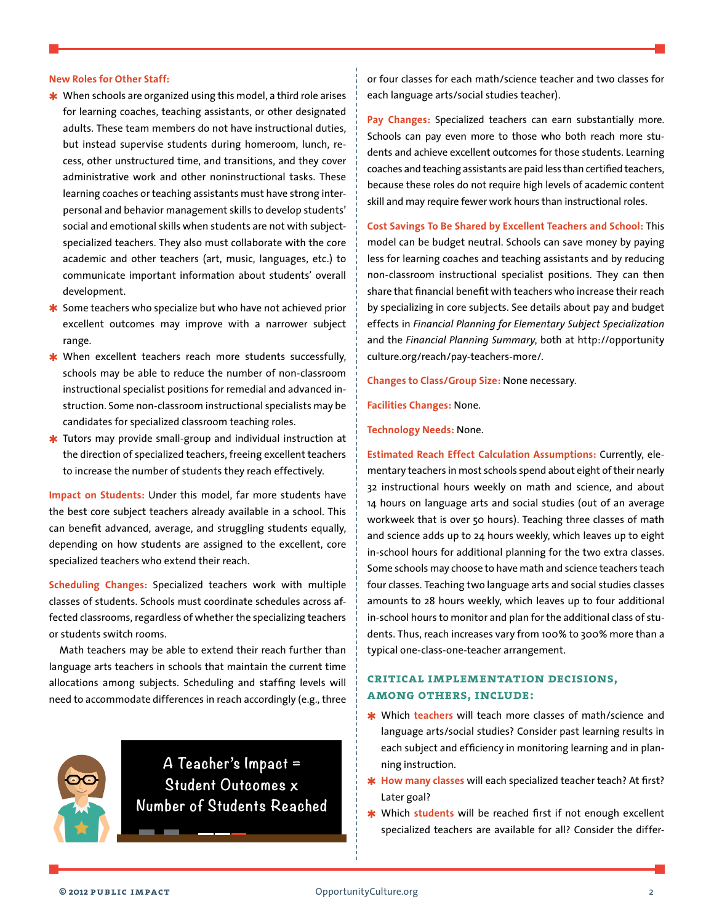#### **New Roles for Other Staff:**

- **★** When schools are organized using this model, a third role arises for learning coaches, teaching assistants, or other designated adults. These team members do not have instructional duties, but instead supervise students during homeroom, lunch, recess, other unstructured time, and transitions, and they cover administrative work and other noninstructional tasks. These learning coaches or teaching assistants must have strong interpersonal and behavior management skills to develop students' social and emotional skills when students are not with subjectspecialized teachers. They also must collaborate with the core academic and other teachers (art, music, languages, etc.) to communicate important information about students' overall development.
- $*$  Some teachers who specialize but who have not achieved prior excellent outcomes may improve with a narrower subject range.
- ✱ When excellent teachers reach more students successfully, schools may be able to reduce the number of non-classroom instructional specialist positions for remedial and advanced instruction. Some non-classroom instructional specialists may be candidates for specialized classroom teaching roles.
- $*$  Tutors may provide small-group and individual instruction at the direction of specialized teachers, freeing excellent teachers to increase the number of students they reach effectively.

**Impact on Students:** Under this model, far more students have the best core subject teachers already available in a school. This can benefit advanced, average, and struggling students equally, depending on how students are assigned to the excellent, core specialized teachers who extend their reach.

**Scheduling Changes:** Specialized teachers work with multiple classes of students. Schools must coordinate schedules across affected classrooms, regardless of whether the specializing teachers or students switch rooms.

Math teachers may be able to extend their reach further than language arts teachers in schools that maintain the current time allocations among subjects. Scheduling and staffing levels will need to accommodate differences in reach accordingly (e.g., three

a an

**A Teacher's Impact = Student Outcomes x Number of Students Reached** or four classes for each math/science teacher and two classes for each language arts/social studies teacher).

**Pay Changes:** Specialized teachers can earn substantially more. Schools can pay even more to those who both reach more students and achieve excellent outcomes for those students. Learning coaches and teaching assistants are paid less than certified teachers, because these roles do not require high levels of academic content skill and may require fewer work hours than instructional roles.

**Cost Savings To Be Shared by Excellent Teachers and School:** This model can be budget neutral. Schools can save money by paying less for learning coaches and teaching assistants and by reducing non-classroom instructional specialist positions. They can then share that financial benefit with teachers who increase their reach by specializing in core subjects. See details about pay and budget effects in *Financial Planning for Elementary Subject Specialization* and the *Financial Planning Summary*, both at [http://opportunity](http://opportunityculture.org/reach/pay-teachers-more/) [culture.org/reach/pay-teachers-more/](http://opportunityculture.org/reach/pay-teachers-more/).

**Changes to Class/Group Size:** None necessary.

**Facilities Changes:** None.

#### **Technology Needs:** None.

**Estimated Reach Effect Calculation Assumptions:** Currently, elementary teachers in most schools spend about eight of their nearly 32 instructional hours weekly on math and science, and about 14 hours on language arts and social studies (out of an average workweek that is over 50 hours). Teaching three classes of math and science adds up to 24 hours weekly, which leaves up to eight in-school hours for additional planning for the two extra classes. Some schools may choose to have math and science teachers teach four classes. Teaching two language arts and social studies classes amounts to 28 hours weekly, which leaves up to four additional in-school hours to monitor and plan for the additional class of students. Thus, reach increases vary from 100% to 300% more than a typical one-class-one-teacher arrangement.

## **critical implementation decisions, among others, include:**

- ✱ Which **teachers** will teach more classes of math/science and language arts/social studies? Consider past learning results in each subject and efficiency in monitoring learning and in planning instruction.
- $*$  **How many classes** will each specialized teacher teach? At first? Later goal?
- ✱ Which **students** will be reached first if not enough excellent specialized teachers are available for all? Consider the differ-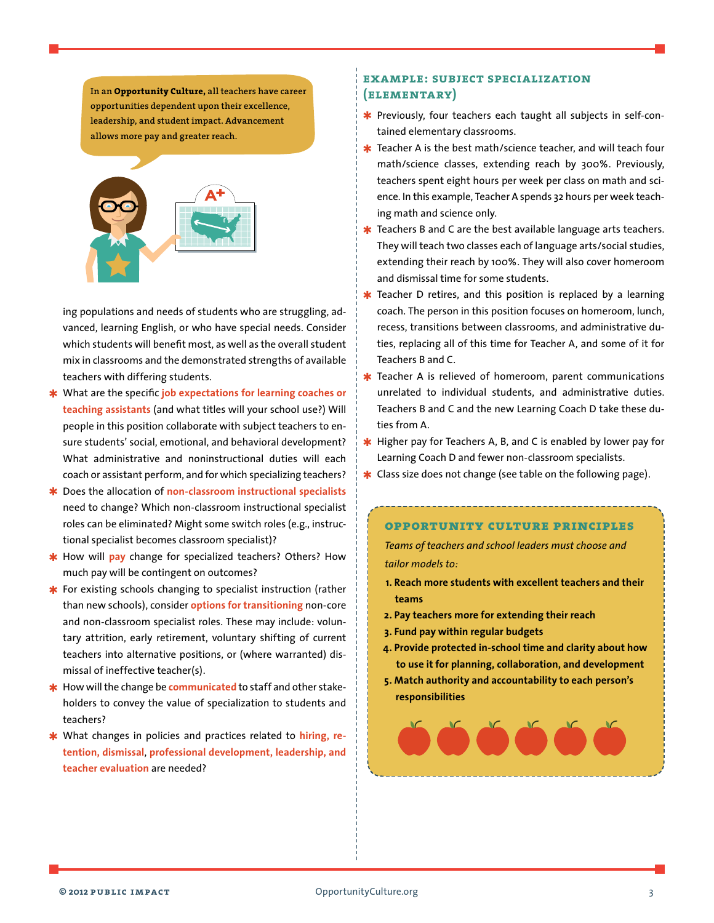**In an Opportunity Culture, all teachers have career opportunities dependent upon their excellence, leadership, and student impact. Advancement allows more pay and greater reach.**



ing populations and needs of students who are struggling, advanced, learning English, or who have special needs. Consider which students will benefit most, as well as the overall student mix in classrooms and the demonstrated strengths of available teachers with differing students.

- ✱ What are the specific **job expectations for learning coaches or teaching assistants** (and what titles will your school use?) Will people in this position collaborate with subject teachers to ensure students' social, emotional, and behavioral development? What administrative and noninstructional duties will each coach or assistant perform, and for which specializing teachers?
- ✱ Does the allocation of **non-classroom instructional specialists**  need to change? Which non-classroom instructional specialist roles can be eliminated? Might some switch roles (e.g., instructional specialist becomes classroom specialist)?
- How will **pay** change for specialized teachers? Others? How much pay will be contingent on outcomes?
- $*$  For existing schools changing to specialist instruction (rather than new schools), consider **options for transitioning** non-core and non-classroom specialist roles. These may include: voluntary attrition, early retirement, voluntary shifting of current teachers into alternative positions, or (where warranted) dismissal of ineffective teacher(s).
- How will the change be **communicated** to staff and other stakeholders to convey the value of specialization to students and teachers?
- \* What changes in policies and practices related to **hiring**, re**tention, dismissal**, **professional development, leadership, and teacher evaluation** are needed?

## **example: subject specialization (elementary)**

- **★** Previously, four teachers each taught all subjects in self-contained elementary classrooms.
- $*$  Teacher A is the best math/science teacher, and will teach four math/science classes, extending reach by 300%. Previously, teachers spent eight hours per week per class on math and science. In this example, Teacher A spends 32 hours per week teaching math and science only.
- $*$  Teachers B and C are the best available language arts teachers. They will teach two classes each of language arts/social studies, extending their reach by 100%. They will also cover homeroom and dismissal time for some students.
- $*$  Teacher D retires, and this position is replaced by a learning coach. The person in this position focuses on homeroom, lunch, recess, transitions between classrooms, and administrative duties, replacing all of this time for Teacher A, and some of it for Teachers B and C.
- **\*** Teacher A is relieved of homeroom, parent communications unrelated to individual students, and administrative duties. Teachers B and C and the new Learning Coach D take these duties from A.
- $*$  Higher pay for Teachers A, B, and C is enabled by lower pay for Learning Coach D and fewer non-classroom specialists.
- **∗** Class size does not change (see table on the following page).

# **opportunity culture principles**

*Teams of teachers and school leaders must choose and tailor models to:*

- **1. Reach more students with excellent teachers and their teams**
- **2. Pay teachers more for extending their reach**
- **3. Fund pay within regular budgets**
- **4. Provide protected in-school time and clarity about how to use it for planning, collaboration, and development**
- **5. Match authority and accountability to each person's responsibilities**